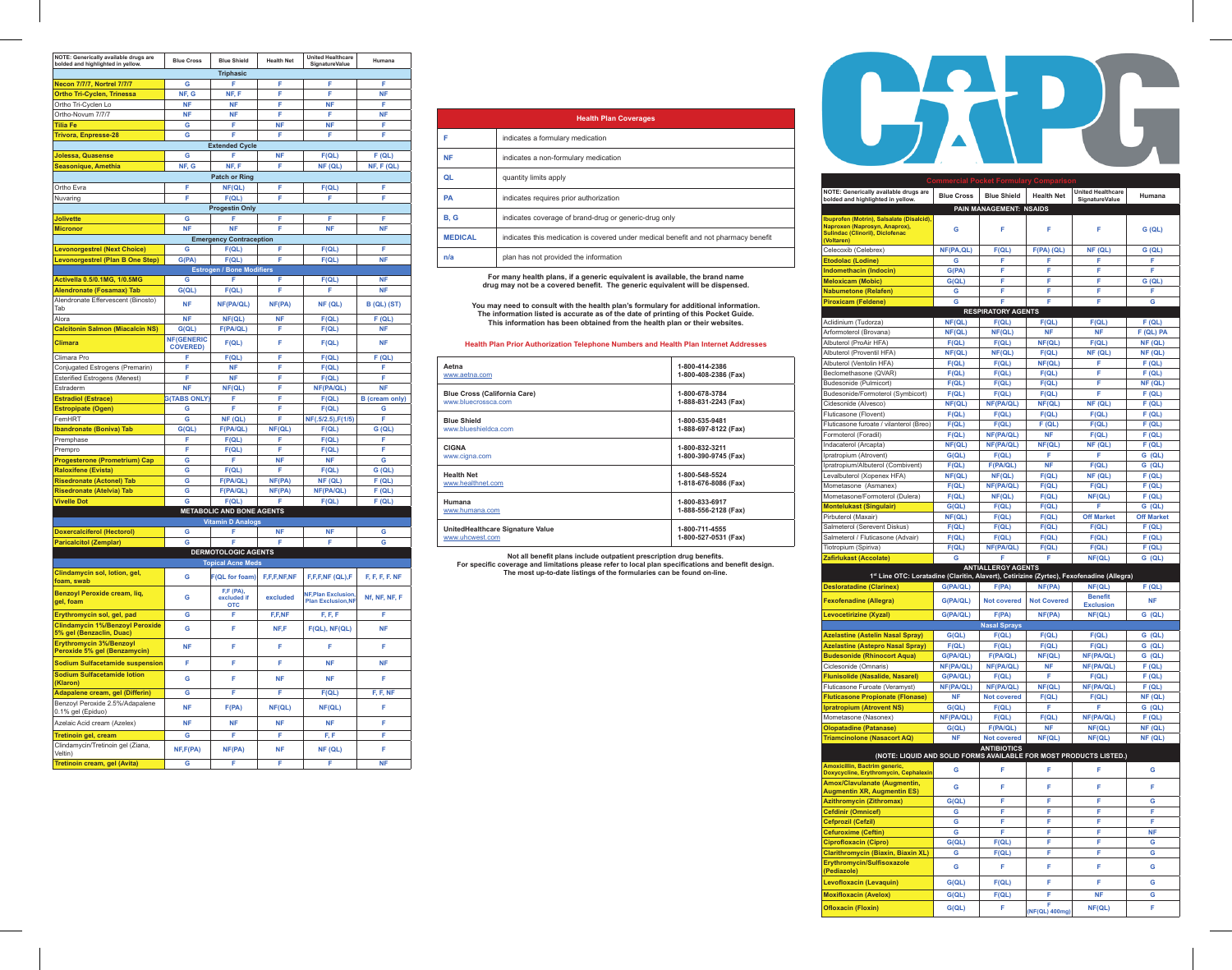| NOTE: Generically available drugs are<br>bolded and highlighted in yellow. | <b>Blue Cross</b>                    | <b>Blue Shield</b>                 | <b>Health Net</b> | <b>United Healthcare</b><br>SignatureValue           | Humana                |
|----------------------------------------------------------------------------|--------------------------------------|------------------------------------|-------------------|------------------------------------------------------|-----------------------|
|                                                                            |                                      | <b>Triphasic</b>                   |                   |                                                      |                       |
| <b>Necon 7/7/7, Nortrel 7/7/7</b>                                          | G                                    | F                                  | F                 | F                                                    | F                     |
| <b>Ortho Tri-Cyclen, Trinessa</b>                                          | NF, G                                | NF, F                              | F                 | F                                                    | <b>NF</b>             |
| Ortho Tri-Cyclen Lo                                                        | <b>NF</b>                            | <b>NF</b>                          | F                 | <b>NF</b>                                            | F                     |
| Ortho-Novum 7/7/7                                                          | <b>NF</b>                            | <b>NF</b>                          | F                 | F                                                    | <b>NF</b>             |
| <b>Tilia Fe</b>                                                            | G                                    | F                                  | <b>NF</b>         | <b>NF</b>                                            | F                     |
| <b>Trivora, Enpresse-28</b>                                                | Ġ                                    | Ė                                  | F                 | F                                                    | F                     |
|                                                                            |                                      | <b>Extended Cycle</b>              |                   |                                                      |                       |
| Jolessa, Quasense                                                          | G                                    | F                                  | <b>NF</b>         | F(QL)                                                | F(QL)                 |
| Seasonique, Amethia                                                        | NF, G                                | NF.F                               | F                 | NF (QL)                                              | NF, F (QL)            |
|                                                                            | Ė                                    | <b>Patch or Ring</b>               | Ė                 |                                                      | F                     |
| Ortho Evra                                                                 | Ė                                    | NF(QL)                             | Ė                 | F(QL)<br>F                                           | F                     |
| Nuvaring                                                                   |                                      | F(QL)                              |                   |                                                      |                       |
| Jolivette                                                                  | Ġ                                    | <b>Progestin Only</b><br>F         | Ė                 | Ė                                                    | F                     |
| <b>Micronor</b>                                                            | <b>NF</b>                            | <b>NF</b>                          | F                 | <b>NF</b>                                            | <b>NF</b>             |
|                                                                            |                                      | <b>Emergency Contraception</b>     |                   |                                                      |                       |
| <b>Levonorgestrel (Next Choice)</b>                                        | Ġ                                    | F(QL)                              | F                 | F(QL)                                                | F                     |
| Levonorgestrel (Plan B One Step)                                           | G(PA)                                | F(QL)                              | F                 | F(QL)                                                | <b>NF</b>             |
|                                                                            |                                      | <b>Estrogen / Bone Modifiers</b>   |                   |                                                      |                       |
| Activella 0.5/0.1MG, 1/0.5MG                                               | Ġ                                    |                                    | F                 | F(QL)                                                | <b>NF</b>             |
| <b>Alendronate (Fosamax) Tab</b>                                           | G (QL)                               | F(QL)                              | F                 | F                                                    | <b>NF</b>             |
| Alendronate Effervescent (Binosto)                                         | <b>NF</b>                            | NF(PA/QL)                          | NF(PA)            | NF (QL)                                              | <b>B (QL) (ST)</b>    |
| Tah                                                                        |                                      |                                    |                   |                                                      |                       |
| Alora                                                                      | <b>NF</b>                            | NF(QL)                             | <b>NF</b>         | F(QL)                                                | F(QL)                 |
| <b>Calcitonin Salmon (Miacalcin NS)</b>                                    | G (QL)                               | F(PA/QL)                           | F                 | F(QL)                                                | <b>NF</b>             |
| Climara                                                                    | <b>NF(GENERIC</b><br><b>COVERED)</b> | F(QL)                              | F                 | F(QL)                                                | <b>NF</b>             |
| Climara Pro                                                                | F                                    | F(QL)                              | Ė                 | F(QL)                                                | F(QL)                 |
| Conjugated Estrogens (Premarin)                                            | F                                    | <b>NF</b>                          | F                 | F(QL)                                                | F                     |
| <b>Esterified Estrogens (Menest)</b>                                       | F                                    | <b>NF</b>                          | F                 | F(QL)                                                | F                     |
| Estraderm                                                                  | <b>NF</b>                            | NF(QL)                             | F                 | NF(PA/QL)                                            | <b>NF</b>             |
| <b>Estradiol (Estrace)</b>                                                 | <b>G(TABS ONLY)</b>                  | F                                  | F                 | F(QL)                                                | <b>B</b> (cream only) |
| <b>Estropipate (Ogen)</b>                                                  | Ġ                                    | F                                  | F                 | F(QL)                                                | G                     |
| FemHRT                                                                     | Ġ                                    | NF (QL)                            | F                 | NF(.5/2.5), F(1/5)                                   | F                     |
| <b>Ibandronate (Boniva) Tab</b>                                            | G (QL)<br>F                          | F(PA/QL)                           | NF(QL)<br>F       | F(QL)                                                | G (QL)<br>F           |
| Premphase<br>Prempro                                                       | F                                    | F(QL)<br>F(QL)                     | F                 | F(QL)                                                | F                     |
| <b>Progesterone (Prometrium) Cap</b>                                       | Ġ                                    | F                                  | <b>NF</b>         | F(QL)<br><b>NF</b>                                   | Ġ                     |
| <b>Raloxifene (Evista)</b>                                                 | Ġ                                    | F(QL)                              | Ė                 | F(QL)                                                | G(QL)                 |
| <b>Risedronate (Actonel) Tab</b>                                           | G                                    | F(PA/QL)                           | NF(PA)            | NF (QL)                                              | F(QL)                 |
| <b>Risedronate (Atelvia) Tab</b>                                           | Ġ                                    | F(PA/QL)                           | NF(PA)            | NF(PA/QL)                                            | F(QL)                 |
| <b>Vivelle Dot</b>                                                         | Ġ                                    | F(QL)                              | F                 | F(QL)                                                | F(QL)                 |
|                                                                            |                                      | <b>METABOLIC AND BONE AGENTS</b>   |                   |                                                      |                       |
|                                                                            |                                      | <b>Vitamin D Analogs</b>           |                   |                                                      |                       |
| <b>Doxercalciferol (Hectorol)</b>                                          | Ġ                                    | F                                  | <b>NF</b>         | <b>NF</b>                                            | G                     |
| <b>Paricalcitol (Zemplar)</b>                                              | Ġ                                    | F                                  | F                 | Ė                                                    | Ġ                     |
|                                                                            |                                      | <b>DERMOTOLOGIC AGENTS</b>         |                   |                                                      |                       |
|                                                                            |                                      | <b>Topical Acne Meds</b>           |                   |                                                      |                       |
| Clindamycin sol, lotion, gel,<br>foam, swab                                | Ġ                                    | <b>F(QL for foam)</b><br>F.F (PA), | F,F,F,NF,NF       | F.F.F.NF (QL),F                                      | F. F. F. F. NF        |
| <b>Benzoyl Peroxide cream, liq,</b><br>gel, foam                           | Ġ                                    | excluded if<br><b>OTC</b>          | excluded          | <b>NF.Plan Exclusion</b><br><b>Plan Exclusion.NF</b> | Nf, NF, NF, F         |
| Erythromycin sol, gel, pad                                                 | G                                    | F                                  | F,F,NF            | F, F, F                                              | F                     |
| <b>Clindamycin 1%/Benzoyl Peroxide</b><br>5% gel (Benzaclin, Duac)         | G                                    | F                                  | NF,F              | $F(QL)$ , NF(QL)                                     | <b>NF</b>             |
| <b>Erythromycin 3%/Benzoyl</b><br>Peroxide 5% gel (Benzamycin)             | <b>NF</b>                            | Ë                                  | F                 | F                                                    | F                     |
| <b>Sodium Sulfacetamide suspension</b>                                     | Ė                                    | F                                  | F                 | <b>NF</b>                                            | <b>NF</b>             |
| <b>Sodium Sulfacetamide lotion</b><br>(Klaron)                             | G                                    | F                                  | <b>NF</b>         | <b>NF</b>                                            | F                     |
| Adapalene cream, gel (Differin)                                            | G                                    | F                                  | F                 | F(QL)                                                | F, F, NF              |
| Benzoyl Peroxide 2.5%/Adapalene<br>0.1% gel (Epiduo)                       | <b>NF</b>                            | F(PA)                              | NF(QL)            | NF(QL)                                               | F                     |
| Azelaic Acid cream (Azelex)                                                | <b>NF</b>                            | <b>NF</b>                          | <b>NF</b>         | <b>NF</b>                                            | F                     |
| <b>Tretinoin gel, cream</b>                                                | Ġ                                    | Ë                                  | F                 | F, F                                                 | F                     |
| Clindamycin/Tretinoin gel (Ziana,<br>Veltin)                               | NF,F(PA)                             | NF(PA)                             | <b>NF</b>         | NF (QL)                                              | F                     |
| Tretinoin cream, gel (Avita)                                               | Ġ                                    | Ë                                  | F                 | F                                                    | <b>NF</b>             |

|                | <b>Health Plan Coverages</b>                                                        |
|----------------|-------------------------------------------------------------------------------------|
| F              | indicates a formulary medication                                                    |
| <b>NF</b>      | indicates a non-formulary medication                                                |
| QL             | quantity limits apply                                                               |
| PA             | indicates requires prior authorization                                              |
| B, G           | indicates coverage of brand-drug or generic-drug only                               |
| <b>MEDICAL</b> | indicates this medication is covered under medical benefit and not pharmacy benefit |
| n/a            | plan has not provided the information                                               |
|                |                                                                                     |

**For many health plans, if a generic equivalent is available, the brand name drug may not be a covered benefit. The generic equivalent will be dispensed.** 

**You may need to consult with the health plan's formulary for additional information. The information listed is accurate as of the date of printing of this Pocket Guide. This information has been obtained from the health plan or their websites.**

## **Health Plan Prior Authorization Telephone Numbers and Health Plan Internet Addresses**

| Aetna                               | 1-800-414-2386       |
|-------------------------------------|----------------------|
| www.aetna.com                       | 1-800-408-2386 (Fax) |
| <b>Blue Cross (California Care)</b> | 1-800-678-3784       |
| www.bluecrossca.com                 | 1-888-831-2243 (Fax) |
| <b>Blue Shield</b>                  | 1-800-535-9481       |
| www.blueshieldca.com                | 1-888-697-8122 (Fax) |
| <b>CIGNA</b>                        | 1-800-832-3211       |
| www.cigna.com                       | 1-800-390-9745 (Fax) |
| <b>Health Net</b>                   | 1-800-548-5524       |
| www.healthnet.com                   | 1-818-676-8086 (Fax) |
| Humana                              | 1-800-833-6917       |
| www.humana.com                      | 1-888-556-2128 (Fax) |
| UnitedHealthcare Signature Value    | 1-800-711-4555       |
| www.uhcwest.com                     | 1-800-527-0531 (Fax) |

Not all benefit plans include outpatient prescription drug benefits.<br>For specific coverage and limitations please refer to local plan specifications and benefit design.<br>The most up-to-date listings of the formularies can b



| NOTE: Generically available drugs are<br>bolded and highlighted in yellow.                                                         | <b>Blue Cross</b>     | <b>Blue Shield</b>             | <b>Health Net</b>   | <b>United Healthcare</b><br>SignatureValue | Humana             |
|------------------------------------------------------------------------------------------------------------------------------------|-----------------------|--------------------------------|---------------------|--------------------------------------------|--------------------|
|                                                                                                                                    |                       | <b>PAIN MANAGEMENT: NSAIDS</b> |                     |                                            |                    |
| Ibuprofen (Motrin), Salsalate (Disalcid),<br>Naproxen (Naprosyn, Anaprox),<br><b>Sulindac (Clinoril), Diclofenac</b><br>(Voltaren) | Ġ                     | F                              | Ė                   | Ë                                          | G (QL)             |
| Celecoxib (Celebrex)                                                                                                               | NF(PA,QL)             | F(QL)                          | $F(PA)$ (QL)        | NF(QL)                                     | G (QL)             |
| <b>Etodolac (Lodine)</b>                                                                                                           | G                     | F<br>F                         | F<br>F              | F<br>E                                     | F<br>E             |
| <b>Indomethacin (Indocin)</b><br><b>Meloxicam (Mobic)</b>                                                                          | G(PA)<br>G(QL)        | Ė                              | E                   | E                                          | G (QL)             |
| <b>Nabumetone (Relafen)</b>                                                                                                        | G                     | F                              | F                   | F                                          | F                  |
| <b>Piroxicam (Feldene)</b>                                                                                                         | Ġ                     | Ė                              | Ė                   | Ë                                          | Ġ                  |
|                                                                                                                                    |                       | <b>RESPIRATORY AGENTS</b>      |                     |                                            |                    |
| Aclidinium (Tudorza)                                                                                                               | NF(QL)                | F(QL)                          | F(QL)               | F(QL)                                      | F(QL)              |
| Arformoterol (Brovana)                                                                                                             | NF(QL)                | NF(QL)                         | <b>NF</b>           | <b>NF</b>                                  | F (QL) PA          |
| Albuterol (ProAir HFA)<br>Albuterol (Proventil HFA)                                                                                | F(QL)                 | F(QL)                          | NF(QL)              | F(QL)                                      | NF (QL)            |
| Albuterol (Ventolin HFA)                                                                                                           | NF(QL)<br>F(QL)       | NF(QL)<br>F(QL)                | F(QL)<br>NF(QL)     | NF (QL)<br>F                               | NF(QL)<br>F(QL)    |
| Beclomethasone (QVAR)                                                                                                              | F(QL)                 | F(QL)                          | F(QL)               | F                                          | F(QL)              |
| Budesonide (Pulmicort)                                                                                                             | F(QL)                 | F(QL)                          | F(QL)               | F                                          | NF (QL)            |
| Budesonide/Formoterol (Symbicort)                                                                                                  | F(QL)                 | F(QL)                          | F(QL)               | Ë                                          | F(QL)              |
| Cidesonide (Alvesco)                                                                                                               | NF(QL)                | NF(PA/QL)                      | NF(QL)              | NF (QL)                                    | F(QL)              |
| Fluticasone (Flovent)                                                                                                              | F(QL)                 | F(QL)                          | F(QL)               | F(QL)                                      | F(QL)              |
| Fluticasone furoate / vilanterol (Breo)<br>Formoterol (Foradil)                                                                    | F(QL)<br>F(QL)        | F(QL)<br>NF(PA/QL)             | F(QL)<br><b>NF</b>  | F(QL)<br>F(QL)                             | F(QL)<br>F(QL)     |
| Indacaterol (Arcapta)                                                                                                              | NF(QL)                | NF(PA/QL)                      | NF(QL)              | $\overline{\mathsf{NF}}$ (QL)              | F(QL)              |
| Ipratropium (Atrovent)                                                                                                             | G (QL)                | F(QL)                          | F                   | F                                          | G(QL)              |
| Ipratropium/Albuterol (Combivent)                                                                                                  | F(QL)                 | F(PA/QL)                       | <b>NF</b>           | F(QL)                                      | G (QL)             |
| Levalbuterol (Xopenex HFA)                                                                                                         | NF(QL)                | NF(QL)                         | F(QL)               | NF (QL)                                    | F(QL)              |
| Mometasone (Asmanex)                                                                                                               | F(QL)                 | NF(PA/QL)                      | F(QL)               | F(QL)                                      | F(QL)              |
| Mometasone/Formoterol (Dulera)                                                                                                     | F(QL)<br>G (QL)       | NF(QL)                         | F(QL)               | NF(QL)<br>F                                | F(QL)<br>G(QL)     |
| Montelukast (Singulair)<br>Pirbuterol (Maxair)                                                                                     | NF(QL)                | F(QL)<br>F(QL)                 | F(QL)<br>F(QL)      | <b>Off Market</b>                          | <b>Off Market</b>  |
| Salmeterol (Serevent Diskus)                                                                                                       | F(QL)                 | F(QL)                          | F(QL)               | F(QL)                                      | F(QL)              |
| Salmeterol / Fluticasone (Advair)                                                                                                  | F(QL)                 | F(QL)                          | F(QL)               | F(QL)                                      | F(QL)              |
| Tiotropium (Spiriva)                                                                                                               | F(QL)                 | NF(PA/QL)                      | F(QL)               | F(QL)                                      | F(QL)              |
|                                                                                                                                    |                       |                                |                     |                                            |                    |
| Zafirlukast (Accolate)                                                                                                             | G                     | F                              | F                   | NF(QL)                                     | G (QL)             |
|                                                                                                                                    |                       | <b>ANTIALLERGY AGENTS</b>      |                     |                                            |                    |
| 1st Line OTC: Loratadine (Claritin, Alavert), Cetirizine (Zyrtec), Fexofenadine (Allegra)<br><b>Desloratadine (Clarinex)</b>       | G(PA/QL)              | F(PA)                          | NF(PA)              | NF(QL)                                     | F(QL)              |
| <b>Fexofenadine (Allegra)</b>                                                                                                      | G(PA/QL)              | <b>Not covered</b>             | <b>Not Covered</b>  | <b>Renefit</b><br><b>Exclusion</b>         | <b>NF</b>          |
| <b>Levocetirizine (Xyzal)</b>                                                                                                      | G(PA/QL)              | F(PA)                          | NF(PA)              | NF(QL)                                     | G (QL)             |
|                                                                                                                                    |                       | <b>Nasal Sprays</b>            |                     |                                            |                    |
| <b>Azelastine (Astelin Nasal Spray)</b>                                                                                            | G(QL)                 | F(QL)                          | F(QL)               | F(QL)                                      | G (QL)             |
| <b>Azelastine (Astepro Nasal Spray)</b>                                                                                            | F(QL)                 | F(QL)                          | F(QL)               | F(QL)                                      | G (QL)             |
| <b>Budesonide (Rhinocort Aqua)</b><br>Ciclesonide (Omnaris)                                                                        | G(PA/QL)<br>NF(PA/QL) | F(PA/QL)<br>NF(PA/QL)          | NF(QL)<br><b>NF</b> | NF(PA/QL)<br>NF(PA/QL)                     | G (QL)<br>F(QL)    |
| <b>Flunisolide (Nasalide, Nasarel)</b>                                                                                             | G(PA/QL)              | F(QL)                          | F                   | F(QL)                                      | F(QL)              |
| Fluticasone Furoate (Veramyst)                                                                                                     | NF(PA/QL)             | NF(PA/QL)                      | NF(QL)              | NF(PA/QL)                                  | F(QL)              |
| <b>Fluticasone Propionate (Flonase)</b>                                                                                            | <b>NF</b>             | <b>Not covered</b>             | F(QL)               | F(QL)                                      | NF (QL)            |
| <b>Ipratropium (Atrovent NS)</b>                                                                                                   | G(QL)                 | F(QL)                          | F                   | F                                          | G (QL)             |
| Mometasone (Nasonex)                                                                                                               | NF(PA/QL)             | F(QL)                          | F(QL)<br><b>NF</b>  | NF(PA/QL)                                  | F(QL)              |
| <b>Olopatadine (Patanase)</b><br><b>Triamcinolone (Nasacort AQ)</b>                                                                | G (QL)<br><b>NF</b>   | F(PA/QL)<br><b>Not covered</b> | NF(QL)              | NF(QL)<br>NF(QL)                           | NF (QL)<br>NF (QL) |
|                                                                                                                                    |                       | <b>ANTIBIOTICS</b>             |                     |                                            |                    |
| (NOTE: LIQUID AND SOLID FORMS AVAILABLE FOR MOST PRODUCTS LISTED.)                                                                 |                       |                                |                     |                                            |                    |
| Amoxicillin, Bactrim generic,<br>Doxycycline, Erythromycin, Cephalexin                                                             | G                     | F                              | F                   | F                                          | Ġ                  |
| Amox/Clavulanate (Augmentin,<br><b>Augmentin XR, Augmentin ES)</b>                                                                 | G                     | F                              | F                   | F                                          | F                  |
| <b>Azithromycin (Zithromax)</b>                                                                                                    | G (QL)                | F                              | F                   | E                                          | G                  |
| <b>Cefdinir (Omnicef)</b>                                                                                                          | G<br>Ġ                | F<br>F                         | F<br>F              | F<br>F                                     | F                  |
| Cefprozil (Cefzil)<br><b>Cefuroxime (Ceftin)</b>                                                                                   | Ġ                     | F                              | F                   | F                                          | F<br><b>NF</b>     |
| <b>Ciprofloxacin (Cipro)</b>                                                                                                       | G(QL)                 | F(QL)                          | Ė                   | Ë                                          | Ġ                  |
| <b>Clarithromycin (Biaxin, Biaxin XL)</b>                                                                                          | G                     | F(QL)                          | F                   | F                                          | Ġ                  |
| Erythromycin/Sulfisoxazole<br>(Pediazole)                                                                                          | G                     | F                              | F                   | F                                          | Ġ                  |
| <b>Levofloxacin (Levaquin)</b>                                                                                                     | G (QL)                | F(QL)                          | F                   | F                                          | Ġ                  |
| <b>Moxifloxacin (Avelox)</b>                                                                                                       | G (QL)                | F(QL)                          | F                   | <b>NF</b>                                  | Ġ                  |